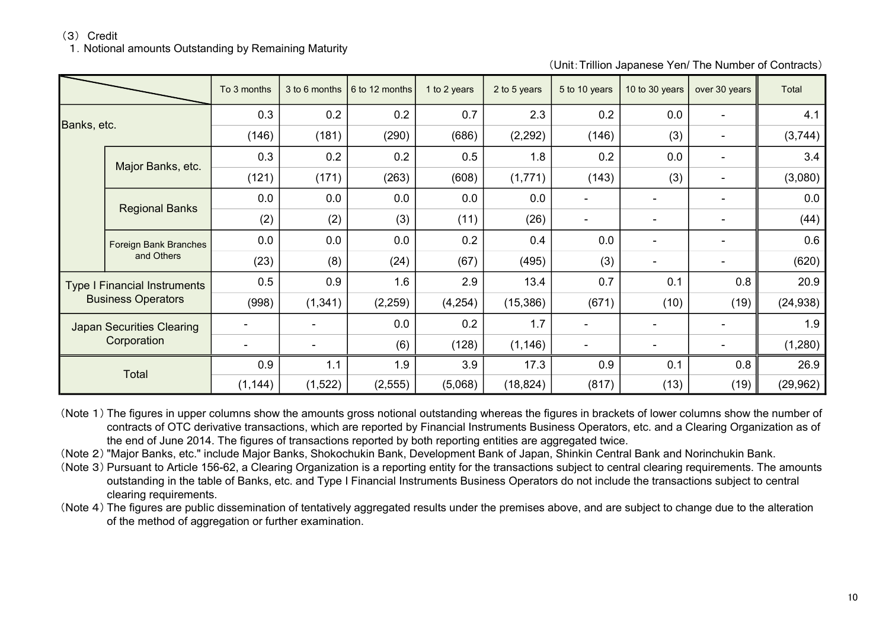(3) Credit

1. Notional amounts Outstanding by Remaining Maturity

(Unit:Trillion Japanese Yen/ The Number of Contracts)

|                                                                  |                                     | To 3 months | 3 to 6 months | 6 to 12 months | 1 to 2 years | 2 to 5 years | 5 to 10 years            | 10 to 30 years           | over 30 years | Total     |
|------------------------------------------------------------------|-------------------------------------|-------------|---------------|----------------|--------------|--------------|--------------------------|--------------------------|---------------|-----------|
| Banks, etc.                                                      |                                     | 0.3         | 0.2           | 0.2            | 0.7          | 2.3          | 0.2                      | 0.0                      |               | 4.1       |
|                                                                  |                                     | (146)       | (181)         | (290)          | (686)        | (2, 292)     | (146)                    | (3)                      |               | (3,744)   |
|                                                                  | Major Banks, etc.                   | 0.3         | 0.2           | 0.2            | 0.5          | 1.8          | 0.2                      | 0.0                      |               | 3.4       |
|                                                                  |                                     | (121)       | (171)         | (263)          | (608)        | (1,771)      | (143)                    | (3)                      |               | (3,080)   |
|                                                                  | <b>Regional Banks</b>               | 0.0         | 0.0           | 0.0            | 0.0          | 0.0          |                          |                          |               | 0.0       |
|                                                                  |                                     | (2)         | (2)           | (3)            | (11)         | (26)         | $\overline{\phantom{a}}$ |                          |               | (44)      |
|                                                                  | Foreign Bank Branches<br>and Others | 0.0         | 0.0           | 0.0            | 0.2          | 0.4          | 0.0                      | $\overline{\phantom{0}}$ |               | 0.6       |
|                                                                  |                                     | (23)        | (8)           | (24)           | (67)         | (495)        | (3)                      | $\qquad \qquad$          |               | (620)     |
| <b>Type I Financial Instruments</b><br><b>Business Operators</b> |                                     | 0.5         | 0.9           | 1.6            | 2.9          | 13.4         | 0.7                      | 0.1                      | 0.8           | 20.9      |
|                                                                  |                                     | (998)       | (1, 341)      | (2, 259)       | (4, 254)     | (15, 386)    | (671)                    | (10)                     | (19)          | (24, 938) |
| <b>Japan Securities Clearing</b><br>Corporation                  |                                     |             |               | 0.0            | 0.2          | 1.7          |                          |                          |               | 1.9       |
|                                                                  |                                     |             |               | (6)            | (128)        | (1, 146)     |                          |                          |               | (1,280)   |
| Total                                                            |                                     | 0.9         | 1.1           | 1.9            | 3.9          | 17.3         | 0.9                      | 0.1                      | 0.8           | 26.9      |
|                                                                  |                                     | (1, 144)    | (1,522)       | (2, 555)       | (5,068)      | (18, 824)    | (817)                    | (13)                     | (19)          | (29, 962) |

(Note 1) The figures in upper columns show the amounts gross notional outstanding whereas the figures in brackets of lower columns show the number of contracts of OTC derivative transactions, which are reported by Financial Instruments Business Operators, etc. and a Clearing Organization as of the end of June 2014. The figures of transactions reported by both reporting entities are aggregated twice.

(Note 2) "Major Banks, etc." include Major Banks, Shokochukin Bank, Development Bank of Japan, Shinkin Central Bank and Norinchukin Bank.

(Note 3) Pursuant to Article 156-62, a Clearing Organization is a reporting entity for the transactions subject to central clearing requirements. The amounts outstanding in the table of Banks, etc. and Type I Financial Instruments Business Operators do not include the transactions subject to central clearing requirements.

(Note 4) The figures are public dissemination of tentatively aggregated results under the premises above, and are subject to change due to the alteration of the method of aggregation or further examination.